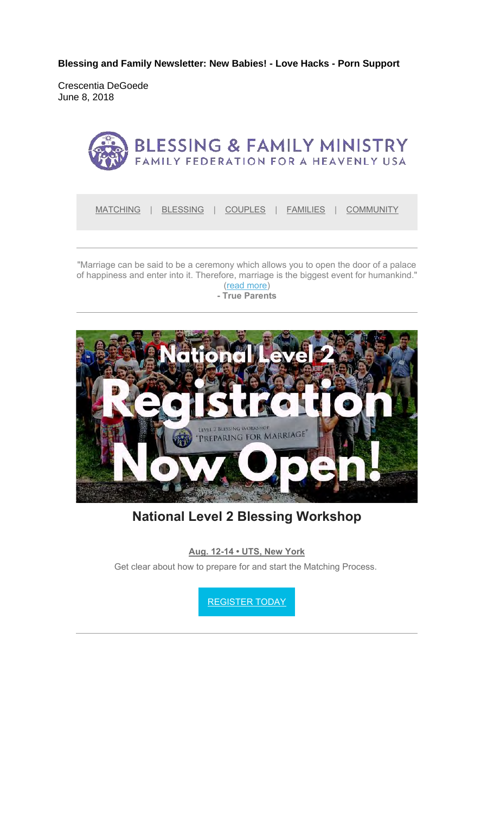**Blessing and Family Newsletter: New Babies! - Love Hacks - Porn Support** 

Crescentia DeGoede June 8, 2018



"Marriage can be said to be a ceremony which allows you to open the door of a palace of happiness and enter into it. Therefore, marriage is the biggest event for humankind."

(read more) **- True Parents**



**National Level 2 Blessing Workshop**

**Aug. 12-14 • UTS, New York**

Get clear about how to prepare for and start the Matching Process.

REGISTER TODAY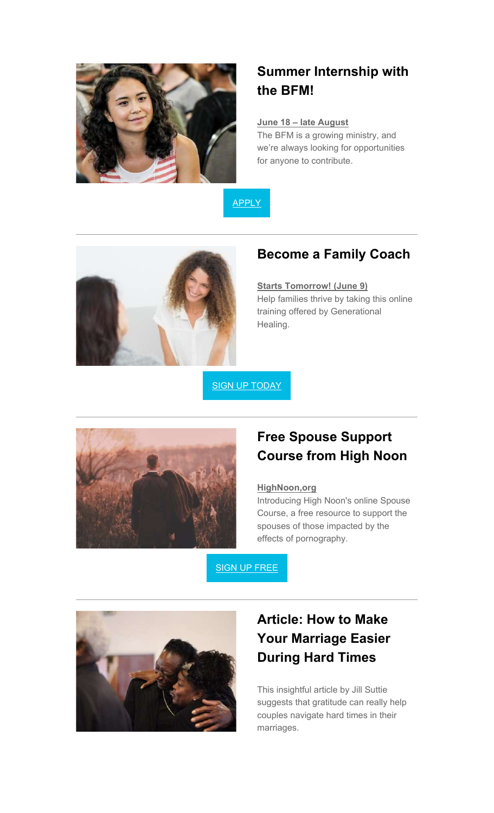

# **Summer Internship with the BFM!**

### **June 18 – late August**

The BFM is a growing ministry, and we're always looking for opportunities for anyone to contribute.

APPLY



### **Become a Family Coach**

#### **Starts Tomorrow! (June 9)**

Help families thrive by taking this online training offered by Generational Healing.

SIGN UP TODAY



## **Free Spouse Support Course from High Noon**

#### **HighNoon,org**

Introducing High Noon's online Spouse Course, a free resource to support the spouses of those impacted by the effects of pornography.

SIGN UP FREE



# **Article: How to Make Your Marriage Easier During Hard Times**

This insightful article by Jill Suttie suggests that gratitude can really help couples navigate hard times in their marriages.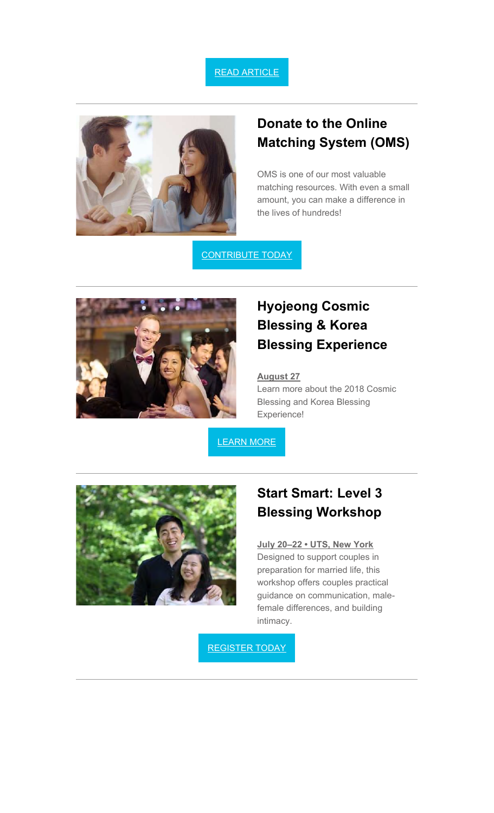### READ ARTICLE



### **Donate to the Online Matching System (OMS)**

OMS is one of our most valuable matching resources. With even a small amount, you can make a difference in the lives of hundreds!

**CONTRIBUTE TODAY** 



# **Hyojeong Cosmic Blessing & Korea Blessing Experience**

#### **August 27**

Learn more about the 2018 Cosmic Blessing and Korea Blessing Experience!

LEARN MORE



### **Start Smart: Level 3 Blessing Workshop**

#### **July 20–22 • UTS, New York**

Designed to support couples in preparation for married life, this workshop offers couples practical guidance on communication, malefemale differences, and building intimacy.

REGISTER TODAY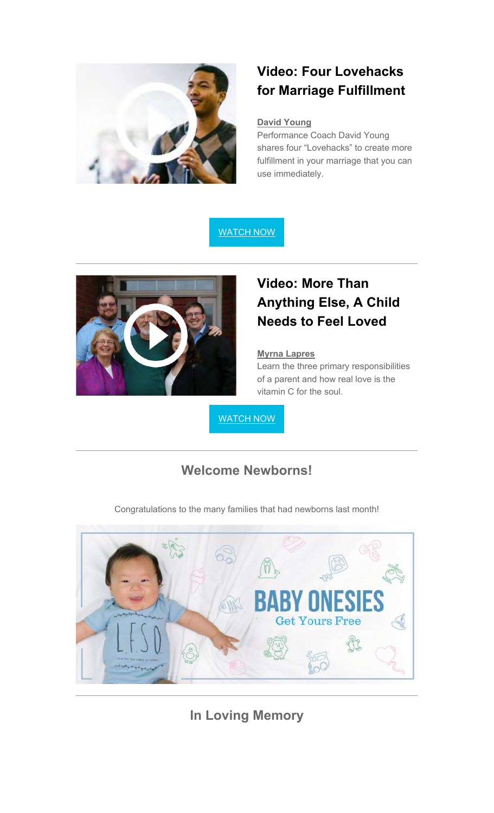

# **Video: Four Lovehacks for Marriage Fulfillment**

#### **David Young**

Performance Coach David Young shares four "Lovehacks" to create more fulfillment in your marriage that you can use immediately.

WATCH NOW



# **Video: More Than Anything Else, A Child Needs to Feel Loved**

#### **Myrna Lapres**

Learn the three primary responsibilities of a parent and how real love is the vitamin C for the soul.

WATCH NOW

### **Welcome Newborns!**

Congratulations to the many families that had newborns last month!



**In Loving Memory**